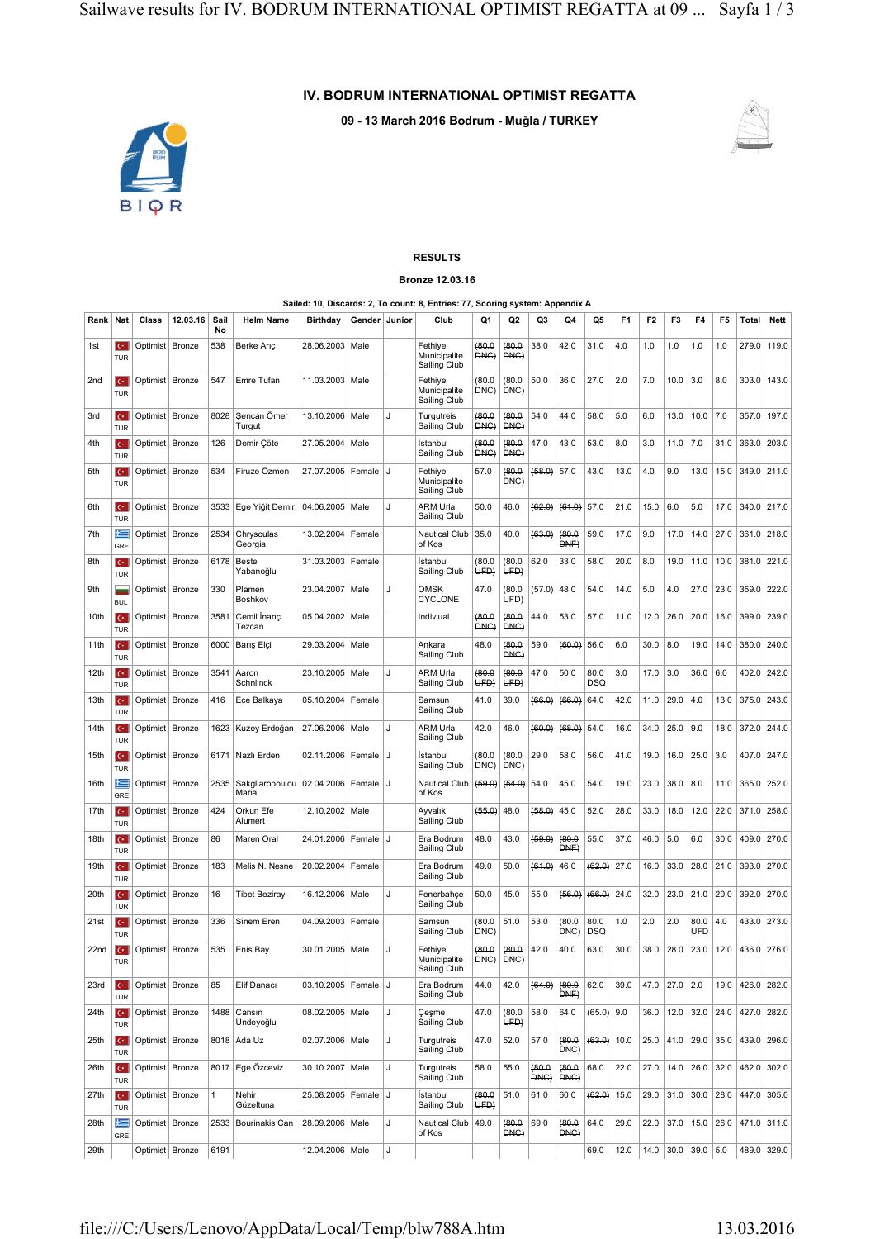## **IV. BODRUM INTERNATIONAL OPTIMIST REGATTA**

**09 - 13 March 2016 Bodrum - Muğla / TURKEY**



## **RESULTS Bronze 12.03.16**

## **Sailed: 10, Discards: 2, To count: 8, Entries: 77, Scoring system: Appendix A**

| Rank             | Nat                          | Class             | 12.03.16 | Sail<br>No   | <b>Helm Name</b>                      | <b>Birthday</b>         | Gender Junior |    | Club                                    | Q1                  | Q2             | Q3            | Q4             | Q5                 | F <sub>1</sub> | F2   | F3   | F4                   | F5   | Total       | <b>Nett</b> |
|------------------|------------------------------|-------------------|----------|--------------|---------------------------------------|-------------------------|---------------|----|-----------------------------------------|---------------------|----------------|---------------|----------------|--------------------|----------------|------|------|----------------------|------|-------------|-------------|
| 1st              | $\mathbf{C}^*$<br><b>TUR</b> | Optimist   Bronze |          | 538          | Berke Aric                            | 28.06.2003              | Male          |    | Fethiye<br>Municipalite<br>Sailing Club | (80.0)<br>DNG)      | (80.0)<br>DNG) | 38.0          | 42.0           | 31.0               | 4.0            | 1.0  | 1.0  | 1.0                  | 1.0  | 279.0       | 119.0       |
| 2nd              | lc٠<br><b>TUR</b>            | Optimist   Bronze |          | 547          | Emre Tufan                            | 11.03.2003   Male       |               |    | Fethiye<br>Municipalite<br>Sailing Club | (80.0<br>DNC)       | (80.0)<br>DNC) | 50.0          | 36.0           | 27.0               | 2.0            | 7.0  | 10.0 | 3.0                  | 8.0  | 303.0       | 143.0       |
| 3rd              | lс٠<br><b>TUR</b>            | Optimist Bronze   |          | 8028         | Sencan Ömer<br>Turgut                 | 13.10.2006 Male         |               | J  | Turgutreis<br>Sailing Club              | (80.0)<br>DNG)      | (80.0)<br>DNG) | 54.0          | 44.0           | 58.0               | 5.0            | 6.0  | 13.0 | 10.0                 | 7.0  | 357.0       | 197.0       |
| 4th              | lc.<br><b>TUR</b>            | Optimist   Bronze |          | 126          | Demir Çöte                            | 27.05.2004              | Male          |    | Istanbul<br>Sailing Club                | (80.0)<br>DNC)      | 0.08(<br>DNC)  | 47.0          | 43.0           | 53.0               | 8.0            | 3.0  | 11.0 | 7.0                  | 31.0 | 363.0       | 203.0       |
| 5th              | $\mathbf{C}^*$<br><b>TUR</b> | Optimist   Bronze |          | 534          | Firuze Özmen                          | 27.07.2005              | Female        | J  | Fethiye<br>Municipalite<br>Sailing Club | 57.0                | (80.0)<br>DNG) | (58.0)        | 57.0           | 43.0               | 13.0           | 4.0  | 9.0  | 13.0                 | 15.0 | 349.0 211.0 |             |
| 6th              | le-<br><b>TUR</b>            | Optimist   Bronze |          | 3533         | Ege Yiğit Demir                       | 04.06.2005              | Male          | J  | ARM Urla<br>Sailing Club                | 50.0                | 46.0           | (62.0)        | (61.0)         | 57.0               | 21.0           | 15.0 | 6.0  | 5.0                  | 17.0 | 340.0 217.0 |             |
| 7th              | E<br>GRE                     | Optimist Bronze   |          | 2534         | Chrysoulas<br>Georgia                 | 13.02.2004              | Female        |    | Nautical Club<br>of Kos                 | 35.0                | 40.0           | (63.0)        | (80.0<br>DNF)  | 59.0               | 17.0           | 9.0  | 17.0 | 14.0                 | 27.0 | 361.0 218.0 |             |
| 8th              | $\mathbf{C}^*$<br><b>TUR</b> | Optimist   Bronze |          | 6178         | <b>Beste</b><br>Yabanoğlu             | 31.03.2003              | Female        |    | Istanbul<br>Sailing Club                | (80.0)<br>UED)      | (80.0)<br>UFD) | 62.0          | 33.0           | 58.0               | 20.0           | 8.0  | 19.0 | 11.0                 | 10.0 | 381.0       | 221.0       |
| 9th              | <b>BUL</b>                   | Optimist   Bronze |          | 330          | Plamen<br>Boshkov                     | 23.04.2007              | Male          | J  | OMSK<br><b>CYCLONE</b>                  | 47.0                | (80.0)<br>UED) | (57.0)        | 48.0           | 54.0               | 14.0           | 5.0  | 4.0  | 27.0                 | 23.0 | 359.0       | 222.0       |
| 10th             | $\mathbf{C}^*$<br><b>TUR</b> | Optimist   Bronze |          | 3581         | Cemil Inanc<br>Tezcan                 | 05.04.2002              | Male          |    | Indiviual                               | (80.0)<br>DNC)      | (80.0)<br>DNC) | 44.0          | 53.0           | 57.0               | 11.0           | 12.0 | 26.0 | 20.0                 | 16.0 | 399.0       | 239.0       |
| 11th             | Iс٠<br><b>TUR</b>            | Optimist Bronze   |          | 6000         | Barış Elçi                            | 29.03.2004 Male         |               |    | Ankara<br>Sailing Club                  | 48.0                | (80.0)<br>DNC) | 59.0          | (60.0)         | 56.0               | 6.0            | 30.0 | 8.0  | 19.0                 | 14.0 | 380.0 240.0 |             |
| 12th             | lс٠<br><b>TUR</b>            | Optimist Bronze   |          | 3541         | Aaron<br>Schnlinck                    | 23.10.2005   Male       |               | J  | ARM Urla<br>Sailing Club                | (80.0)<br>UFD)      | (80.0)<br>UFD) | 47.0          | 50.0           | 80.0<br><b>DSQ</b> | 3.0            | 17.0 | 3.0  | 36.0                 | 6.0  | 402.0       | 242.0       |
| 13 <sub>th</sub> | $\mathbf{C}^*$<br>TUR        | Optimist Bronze   |          | 416          | Ece Balkaya                           | 05.10.2004              | Female        |    | Samsun<br>Sailing Club                  | 41.0                | 39.0           | (66.0)        | (66.0)         | 64.0               | 42.0           | 11.0 | 29.0 | 4.0                  | 13.0 | 375.0       | 243.0       |
| 14th             | $C^*$<br><b>TUR</b>          | Optimist   Bronze |          | 1623         | Kuzey Erdoğan                         | 27.06.2006   Male       |               | J  | ARM Urla<br>Sailing Club                | 42.0                | 46.0           | (60.0)        | (68.0)         | 54.0               | 16.0           | 34.0 | 25.0 | 9.0                  | 18.0 | 372.0 244.0 |             |
| 15th             | IC+<br>TUR                   | Optimist Bronze   |          | 6171         | Nazlı Erden                           | 02.11.2006              | Female        | IJ | Istanbul<br>Sailing Club                | (80.0)<br>DNC)      | (80.0<br>DNC)  | 29.0          | 58.0           | 56.0               | 41.0           | 19.0 | 16.0 | 25.0                 | 3.0  | 407.0 247.0 |             |
| 16th             | ⋐<br>GRE                     | Optimist Bronze   |          | 2535         | Sakgllaropoulou   02.04.2006<br>Maria |                         | Female        | J  | Nautical Club<br>of Kos                 | (69.0)              | (64.0)         | 54.0          | 45.0           | 54.0               | 19.0           | 23.0 | 38.0 | 8.0                  | 11.0 | 365.0       | 252.0       |
| 17th             | ю<br><b>TUR</b>              | Optimist   Bronze |          | 424          | Orkun Efe<br>Alumert                  | 12.10.2002              | Male          |    | Ayvalık<br>Sailing Club                 | (55.0)              | 48.0           | (58.0)        | 45.0           | 52.0               | 28.0           | 33.0 | 18.0 | 12.0                 | 22.0 | 371.0       | 258.0       |
| 18th             | $\mathbf{C}^*$<br><b>TUR</b> | Optimist Bronze   |          | 86           | Maren Oral                            | 24.01.2006              | Female        | IJ | Era Bodrum<br>Sailing Club              | 48.0                | 43.0           | (59.0)        | (80.0)<br>DNF) | 55.0               | 37.0           | 46.0 | 5.0  | 6.0                  | 30.0 | 409.0 270.0 |             |
| 19th             | ю.<br><b>TUR</b>             | Optimist   Bronze |          | 183          | Melis N. Nesne                        | 20.02.2004              | Female        |    | Era Bodrum<br>Sailing Club              | 49.0                | 50.0           | (61.0)        | 46.0           | (62.0)             | 27.0           | 16.0 | 33.0 | 28.0                 | 21.0 | 393.0 270.0 |             |
| 20th             | ю<br><b>TUR</b>              | Optimist Bronze   |          | 16           | <b>Tibet Beziray</b>                  | 16.12.2006   Male       |               | J  | Fenerbahçe<br>Sailing Club              | 50.0                | 45.0           | 55.0          | (56.0)         | (66.0)             | 24.0           | 32.0 | 23.0 | 21.0                 | 20.0 | 392.0 270.0 |             |
| 21st             | $C^*$<br><b>TUR</b>          | Optimist Bronze   |          | 336          | Sinem Eren                            | 04.09.2003 Female       |               |    | Samsun<br>Sailing Club                  | (80.0<br>DNC)       | 51.0           | 53.0          | (80.0<br>DNC)  | 80.0<br><b>DSQ</b> | 1.0            | 2.0  | 2.0  | 80.0<br>UFD          | 4.0  | 433.0 273.0 |             |
| 22 <sub>nd</sub> | $C^*$<br><b>TUR</b>          | Optimist   Bronze |          | 535          | Enis Bay                              | 30.01.2005   Male       |               | J  | Fethiye<br>Municipalite<br>Sailing Club | (80.0)<br>DNG)      | (80.0)<br>DNG) | 42.0          | 40.0           | 63.0               | 30.0           | 38.0 | 28.0 | 23.0                 | 12.0 | 436.0 276.0 |             |
| 23rd             | $\mathbf{C}^*$<br><b>TUR</b> | Optimist Bronze   |          | 85           | Elif Danacı                           | 03.10.2005   Female     |               | IJ | Era Bodrum<br>Sailing Club              | 44.0                | 42.0           | (64.0)        | (80.0<br>DNF   | 62.0               | 39.0           | 47.0 | 27.0 | 2.0                  | 19.0 | 426.0 282.0 |             |
| 24 <sub>th</sub> | $C^*$<br>TUR                 | Optimist   Bronze |          | 1488         | Cansın<br>Ündeyoğlu                   | 08.02.2005 Male         |               | J  | Çeşme<br>Sailing Club                   | 47.0                | (80.0)<br>UFD) | 58.0          | 64.0           | $(65.0)$ 9.0       |                | 36.0 | 12.0 | 32.0                 | 24.0 | 427.0 282.0 |             |
| 25th             | $C^*$<br><b>TUR</b>          | Optimist Bronze   |          |              | 8018 Ada Uz                           | 02.07.2006 Male         |               | J  | Turgutreis<br>Sailing Club              | 47.0                | 52.0           | 57.0          | (80.0)<br>DNC  | (63.0)             | 10.0           | 25.0 | 41.0 | 29.0                 | 35.0 | 439.0 296.0 |             |
| 26th             | $C^*$<br><b>TUR</b>          | Optimist Bronze   |          |              | 8017 Ege Özceviz                      | 30.10.2007 Male         |               | J  | Turgutreis<br>Sailing Club              | 58.0                | 55.0           | (80.0)<br>DNC | (80.0)<br>DNG) | 68.0               | 22.0           | 27.0 | 14.0 | 26.0                 | 32.0 | 462.0 302.0 |             |
| 27th             | $C^*$<br><b>TUR</b>          | Optimist Bronze   |          | $\mathbf{1}$ | Nehir<br>Güzeltuna                    | 25.08.2005   Female   J |               |    | İstanbul<br>Sailing Club                | (80.0)<br>.<br>UFD) | 51.0           | 61.0          | 60.0           | (62.0)             | 15.0           | 29.0 | 31.0 | 30.0                 | 28.0 | 447.0 305.0 |             |
| 28th             | 트<br>GRE                     | Optimist Bronze   |          | 2533         | Bourinakis Can                        | 28.09.2006 Male         |               | J  | Nautical Club<br>of Kos                 | 49.0                | (80.0)<br>DNC  | 69.0          | 6.08(<br>DNC   | 64.0               | 29.0           | 22.0 | 37.0 | 15.0                 | 26.0 | 471.0 311.0 |             |
| 29th             |                              | Optimist Bronze   |          | 6191         |                                       | 12.04.2006 Male         |               | J  |                                         |                     |                |               |                | 69.0               | 12.0           |      |      | $14.0$ 30.0 39.0 5.0 |      |             | 489.0 329.0 |

# file:///C:/Users/Lenovo/AppData/Local/Temp/blw788A.htm 13.03.2016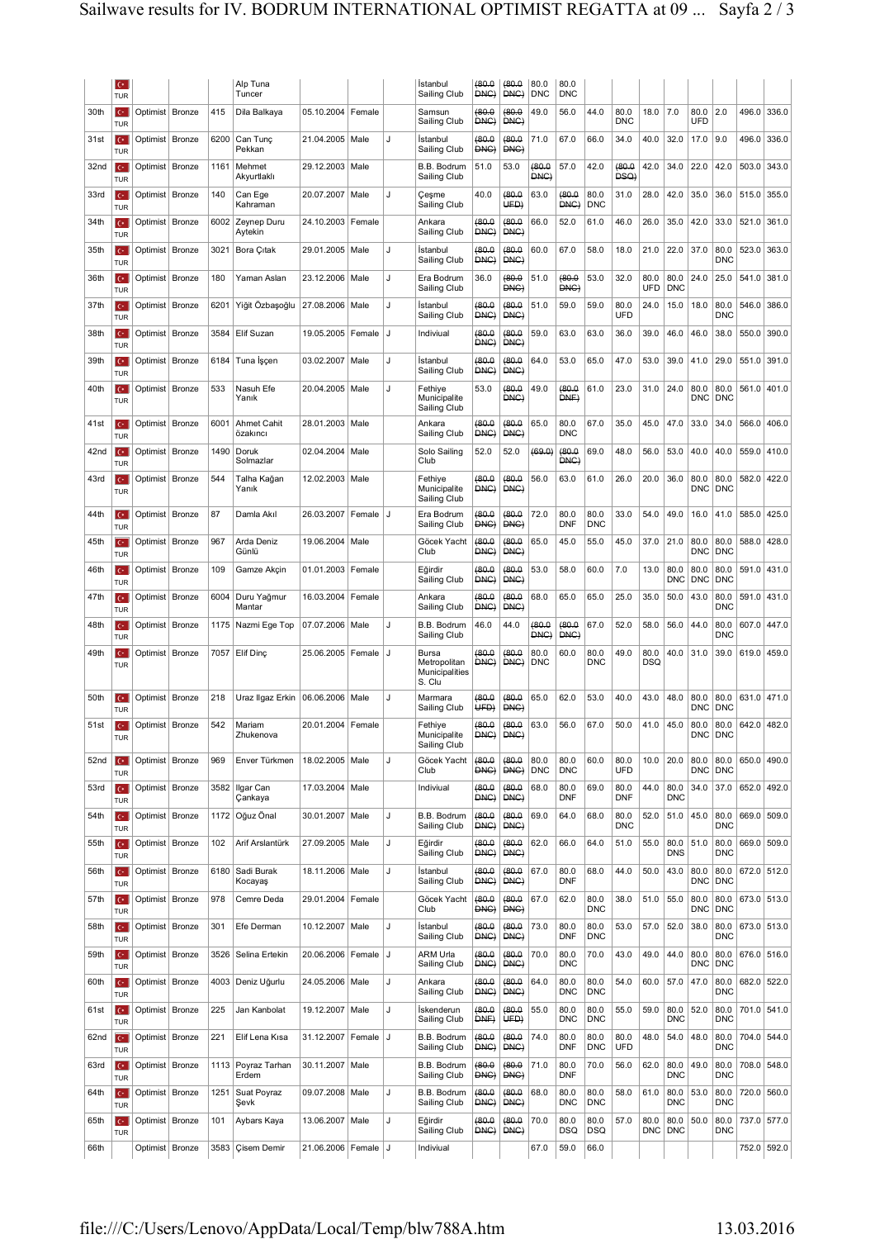|                  | le.<br>TUR                   |                   |        |      | Alp Tuna<br>Tuncer                   |                         |        |    | Istanbul<br>Sailing Club                          | (80.0)<br>DNC) | (80.0)<br>DNC)        | 80.0<br>DNC        | 80.0<br><b>DNC</b> |                    |                    |                    |                    |                    |                    |             |             |
|------------------|------------------------------|-------------------|--------|------|--------------------------------------|-------------------------|--------|----|---------------------------------------------------|----------------|-----------------------|--------------------|--------------------|--------------------|--------------------|--------------------|--------------------|--------------------|--------------------|-------------|-------------|
| 30th             | le.<br>TUR                   | Optimist   Bronze |        | 415  | Dila Balkaya                         | 05.10.2004 Female       |        |    | Samsun<br>Sailing Club                            | (80.0)<br>DNG) | (80.0)<br>DNG)        | 49.0               | 56.0               | 44.0               | 80.0<br><b>DNC</b> | 18.0               | 7.0                | 80.0<br>UFD        | 2.0                | 496.0       | 336.0       |
| 31st             | I€<br>TUR                    | Optimist   Bronze |        | 6200 | Can Tunç<br>Pekkan                   | 21.04.2005   Male       |        | J  | Istanbul<br>Sailing Club                          | (80.0)<br>DNG) | (80.0)<br>DNG)        | 71.0               | 67.0               | 66.0               | 34.0               | 40.0               | 32.0               | 17.0               | 9.0                | 496.0       | 336.0       |
| 32 <sub>nd</sub> | $\mathbf{C}^*$<br>TUR        | Optimist   Bronze |        | 1161 | Mehmet<br>Akyurtlaklı                | 29.12.2003   Male       |        |    | B.B. Bodrum<br>Sailing Club                       | 51.0           | 53.0                  | (80.0)<br>DNC)     | 57.0               | 42.0               | (80.0)<br>DSQ)     | 42.0               | 34.0               | 22.0               | 42.0               | 503.0       | 343.0       |
| 33rd             | lc• i<br>TUR                 | Optimist   Bronze |        | 140  | Can Ege<br>Kahraman                  | 20.07.2007              | Male   | J  | Çeşme<br>Sailing Club                             | 40.0           | (80.0)<br>UFD)        | 63.0               | (80.0)<br>DNC)     | 80.0<br><b>DNC</b> | 31.0               | 28.0               | 42.0               | 35.0               | 36.0               | 515.0       | 355.0       |
| 34th             | le.<br>TUR                   | Optimist   Bronze |        | 6002 | Zeynep Duru<br>Aytekin               | 24.10.2003   Female     |        |    | Ankara<br>Sailing Club                            | (80.0)<br>DNG) | (80.0)<br>DNG)        | 66.0               | 52.0               | 61.0               | 46.0               | 26.0               | 35.0               | 42.0               | 33.0               | 521.0       | 361.0       |
| 35th             | le.<br>TUR                   | Optimist   Bronze |        | 3021 | Bora Çıtak                           | 29.01.2005   Male       |        | J  | Istanbul<br>Sailing Club                          | (80.0)<br>DNG) | (80.0)<br>DNG)        | 60.0               | 67.0               | 58.0               | 18.0               | 21.0               | 22.0               | 37.0               | 80.0<br><b>DNC</b> | 523.0       | 363.0       |
| 36th             | le-<br>TUR                   | Optimist   Bronze |        | 180  | Yaman Aslan                          | 23.12.2006   Male       |        | J  | Era Bodrum<br>Sailing Club                        | 36.0           | (80.0<br>DNG)         | 51.0               | (80.0<br>DNG)      | 53.0               | 32.0               | 80.0<br><b>UFD</b> | 80.0<br><b>DNC</b> | 24.0               | 25.0               | 541.0       | 381.0       |
| 37th             | le-<br>TUR                   | Optimist   Bronze |        | 6201 | Yiğit Özbaşoğlu                      | 27.08.2006   Male       |        | U, | Istanbul<br>Sailing Club                          | (80.0)<br>DNC) | (80.0)<br>DNC)        | 51.0               | 59.0               | 59.0               | 80.0<br><b>UFD</b> | 24.0               | 15.0               | 18.0               | 80.0<br><b>DNC</b> | 546.0       | 386.0       |
| 38th             | le.<br>TUR                   | Optimist   Bronze |        | 3584 | Elif Suzan                           | 19.05.2005   Female     |        | IJ | Indiviual                                         | (80.0<br>DNC)  | (80.0)<br>DNC)        | 59.0               | 63.0               | 63.0               | 36.0               | 39.0               | 46.0               | 46.0               | 38.0               | 550.0       | 390.0       |
| 39th             | $\mathbf{C}^*$<br>TUR        | Optimist          | Bronze | 6184 | Tuna Işçen                           | 03.02.2007              | Male   | J  | İstanbul<br>Sailing Club                          | (80.0<br>DNG)  | (80.0)<br>DNG)        | 64.0               | 53.0               | 65.0               | 47.0               | 53.0               | 39.0               | 41.0               | 29.0               | 551.0       | 391.0       |
| 40th             | le.<br>TUR                   | Optimist   Bronze |        | 533  | Nasuh Efe<br>Yanık                   | 20.04.2005   Male       |        | J  | Fethiye<br>Municipalite<br>Sailing Club           | 53.0           | (80.0<br>DNC)         | 49.0               | (80.0<br>DNF)      | 61.0               | 23.0               | 31.0               | 24.0               | 80.0<br><b>DNC</b> | 80.0<br><b>DNC</b> | 561.0       | 401.0       |
| 41st             | lc• i<br>TUR                 | Optimist   Bronze |        | 6001 | <b>Ahmet Cahit</b><br>özakıncı       | 28.01.2003   Male       |        |    | Ankara<br>Sailing Club                            | (80.0<br>DNC)  | (80.0)<br>DNC)        | 65.0               | 80.0<br><b>DNC</b> | 67.0               | 35.0               | 45.0               | 47.0               | 33.0               | 34.0               | 566.0       | 406.0       |
| 42nd             | le.<br>TUR                   | Optimist   Bronze |        | 1490 | Doruk<br>Solmazlar                   | 02.04.2004              | Male   |    | Solo Sailing<br>Club                              | 52.0           | 52.0                  | (69.0)             | 0.08(<br>DNC)      | 69.0               | 48.0               | 56.0               | 53.0               | 40.0               | 40.0               | 559.0       | 410.0       |
| 43rd             | le-<br>TUR                   | Optimist   Bronze |        | 544  | Talha Kağan<br>Yanık                 | 12.02.2003 Male         |        |    | Fethiye<br>Municipalite<br>Sailing Club           | (80.0)<br>DNG) | (80.0)<br>DNG)        | 56.0               | 63.0               | 61.0               | 26.0               | 20.0               | 36.0               | 80.0<br><b>DNC</b> | 80.0<br><b>DNC</b> | 582.0       | 422.0       |
| 44th             | le.<br>TUR                   | Optimist   Bronze |        | 87   | Damla Akıl                           | 26.03.2007              | Female | IJ | Era Bodrum<br>Sailing Club                        | (80.0)<br>DNC) | (80.0)<br>DNC)        | 72.0               | 80.0<br><b>DNF</b> | 80.0<br><b>DNC</b> | 33.0               | 54.0               | 49.0               | 16.0               | 41.0               | 585.0       | 425.0       |
| 45th             | le-<br>TUR                   | Optimist   Bronze |        | 967  | Arda Deniz<br>Günlü                  | 19.06.2004   Male       |        |    | Göcek Yacht<br>Club                               | (80.0)<br>DNG) | (80.0)<br>DNG)        | 65.0               | 45.0               | 55.0               | 45.0               | 37.0               | 21.0               | 80.0<br><b>DNC</b> | 80.0<br><b>DNC</b> | 588.0       | 428.0       |
| 46th             | $C^*$<br>TUR                 | Optimist   Bronze |        | 109  | Gamze Akçin                          | 01.01.2003   Female     |        |    | Eğirdir<br>Sailing Club                           | (80.0)<br>DNC) | (80.0)<br>DNC)        | 53.0               | 58.0               | 60.0               | 7.0                | 13.0               | 80.0<br><b>DNC</b> | 80.0<br><b>DNC</b> | 80.0<br><b>DNC</b> |             | 591.0 431.0 |
| 47th             | lc• i<br>TUR                 | Optimist   Bronze |        | 6004 | Duru Yağmur<br>Mantar                | 16.03.2004 Female       |        |    | Ankara<br>Sailing Club                            | (80.0<br>DNC)  | (80.0)<br>DNC)        | 68.0               | 65.0               | 65.0               | 25.0               | 35.0               | 50.0               | 43.0               | 80.0<br><b>DNC</b> | 591.0       | 431.0       |
| 48th             | le-<br>TUR                   | Optimist   Bronze |        | 1175 | Nazmi Ege Top                        | 07.07.2006   Male       |        | J  | B.B. Bodrum<br>Sailing Club                       | 46.0           | 44.0                  | (80.0)<br>DNC)     | (80.0)<br>DNC)     | 67.0               | 52.0               | 58.0               | 56.0               | 44.0               | 80.0<br><b>DNC</b> | 607.0       | 447.0       |
| 49th             | le.<br>TUR                   | Optimist   Bronze |        | 7057 | Elif Dinc                            | 25.06.2005   Female     |        | IJ | Bursa<br>Metropolitan<br>Municipalities<br>S. Clu | (80.0<br>DNC)  | (80.0<br>DNC)         | 80.0<br><b>DNC</b> | 60.0               | 80.0<br><b>DNC</b> | 49.0               | 80.0<br>DSQ        | 40.0               | 31.0               | 39.0               | 619.0       | 459.0       |
| 50th             | lc• i<br>TUR                 | Optimist   Bronze |        | 218  | Uraz Ilgaz Erkin   06.06.2006   Male |                         |        | J  | Marmara<br>Sailing Club                           | (80.0<br>UFD)  | (80.0)<br>DNG)        | 65.0               | 62.0               | 53.0               | 40.0               | 43.0               | 48.0               | 80.0<br>DNC        | 80.0<br><b>DNC</b> |             | 631.0 471.0 |
| 51st             | $\mathbf{C}^*$<br>TUR        | Optimist Bronze   |        | 542  | Mariam<br>∠nukenova                  | 20.01.2004   Female     |        |    | Fethiye<br>Municipalite<br>Sailing Club           | (80.0)<br>DNC) | (80.0)<br><b>UNG)</b> | 63.0               | 56.0               | 67.0               | 50.0               | 41.0               | 45.0               | 80.0<br>DNC        | 80.0<br><b>DNC</b> | 642.0       | 482.0       |
| 52 <sub>nd</sub> | le-<br><b>TUR</b>            | Optimist   Bronze |        | 969  | Enver Türkmen                        | 18.02.2005 Male         |        | J  | Göcek Yacht<br>Club                               | (80.0)<br>DNG) | (80.0)<br>DNC         | 80.0<br><b>DNC</b> | 80.0<br><b>DNC</b> | 60.0               | 80.0<br><b>UFD</b> | 10.0               | 20.0               | 80.0<br><b>DNC</b> | 80.0<br><b>DNC</b> |             | 650.0 490.0 |
| 53rd             | le-<br>TUR                   | Optimist Bronze   |        | 3582 | Ilgar Can<br>Çankaya                 | 17.03.2004 Male         |        |    | Indiviual                                         | (80.0)<br>DNC) | (80.0)<br>DNC)        | 68.0               | 80.0<br><b>DNF</b> | 69.0               | 80.0<br><b>DNF</b> | 44.0               | 80.0<br><b>DNC</b> | 34.0               | 37.0               |             | 652.0 492.0 |
| 54th             | $\mathbf{C}$<br><b>TUR</b>   | Optimist Bronze   |        | 1172 | Oğuz Önal                            | 30.01.2007   Male       |        | J  | B.B. Bodrum<br>Sailing Club                       | (80.0)<br>DNC) | (80.0)<br>DNC)        | 69.0               | 64.0               | 68.0               | 80.0<br><b>DNC</b> | 52.0               | 51.0               | 45.0               | 80.0<br><b>DNC</b> | 669.0       | 509.0       |
| 55th             | $\mathbf{C}^*$<br>TUR        | Optimist Bronze   |        | 102  | Arif Arslantürk                      | 27.09.2005 Male         |        | J  | Eğirdir<br>Sailing Club                           | (80.0)<br>DNC) | (80.0)<br>DNG)        | 62.0               | 66.0               | 64.0               | 51.0               | 55.0               | 80.0<br><b>DNS</b> | 51.0               | 80.0<br><b>DNC</b> |             | 669.0 509.0 |
| 56th             | $\mathbf{C}^*$<br><b>TUR</b> | Optimist   Bronze |        | 6180 | Sadi Burak<br>Kocayaş                | 18.11.2006 Male         |        | J  | İstanbul<br>Sailing Club                          | (80.0)<br>DNG) | (80.0)<br>DNG)        | 67.0               | 80.0<br><b>DNF</b> | 68.0               | 44.0               | 50.0               | 43.0               | 80.0<br><b>DNC</b> | 80.0<br><b>DNC</b> | 672.0 512.0 |             |
| 57th             | le-<br>TUR                   | Optimist   Bronze |        | 978  | Cemre Deda                           | 29.01.2004   Female     |        |    | Göcek Yacht<br>Club                               | (80.0<br>DNG)  | (80.0)<br>DNG)        | 67.0               | 62.0               | 80.0<br><b>DNC</b> | 38.0               | 51.0               | 55.0               | 80.0<br><b>DNC</b> | 80.0<br><b>DNC</b> |             | 673.0 513.0 |
| 58th             | $\mathbf{C}$<br><b>TUR</b>   | Optimist   Bronze |        | 301  | Efe Derman                           | 10.12.2007 Male         |        | J  | İstanbul<br>Sailing Club                          | (80.0<br>DNC)  | (80.0)<br>DNC)        | 73.0               | 80.0<br><b>DNF</b> | 80.0<br><b>DNC</b> | 53.0               | 57.0               | 52.0               | 38.0               | 80.0<br><b>DNC</b> |             | 673.0 513.0 |
| 59th             | $\mathbf{C}^*$<br><b>TUR</b> | Optimist   Bronze |        | 3526 | Selina Ertekin                       | 20.06.2006   Female   J |        |    | <b>ARM Urla</b><br>Sailing Club                   | (80.0)<br>DNC) | (80.0)<br>DNC)        | 70.0               | 80.0<br><b>DNC</b> | 70.0               | 43.0               | 49.0               | 44.0               | 80.0<br><b>DNC</b> | 80.0<br><b>DNC</b> |             | 676.0 516.0 |
| 60th             | $\mathbf{C}^*$<br>TUR        | Optimist Bronze   |        | 4003 | Deniz Uğurlu                         | 24.05.2006 Male         |        | J  | Ankara<br>Sailing Club                            | (80.0)<br>DNG) | (80.0)<br>DNG)        | 64.0               | 80.0<br><b>DNC</b> | 80.0<br><b>DNC</b> | 54.0               | 60.0               | 57.0               | 47.0               | 80.0<br><b>DNC</b> |             | 682.0 522.0 |
| 61st             | $\mathbf{C}^*$<br><b>TUR</b> | Optimist Bronze   |        | 225  | Jan Kanbolat                         | 19.12.2007 Male         |        | J  | İskenderun<br>Sailing Club                        | (80.0)<br>DNF) | (80.0<br>UFD          | 55.0               | 80.0<br><b>DNC</b> | 80.0<br><b>DNC</b> | 55.0               | 59.0               | 80.0<br><b>DNC</b> | 52.0               | 80.0<br><b>DNC</b> |             | 701.0 541.0 |
| 62nd             | $\mathbf{C}$<br>TUR          | Optimist Bronze   |        | 221  | Elif Lena Kısa                       | 31.12.2007   Female   J |        |    | B.B. Bodrum<br>Sailing Club                       | (80.0)<br>DNG) | (80.0)<br>DNC)        | 74.0               | 80.0<br><b>DNF</b> | 80.0<br><b>DNC</b> | 80.0<br><b>UFD</b> | 48.0               | 54.0               | 48.0               | 80.0<br><b>DNC</b> |             | 704.0 544.0 |
| 63rd             | $\mathbf{C}$<br>TUR          | Optimist Bronze   |        | 1113 | Poyraz Tarhan<br>Erdem               | 30.11.2007   Male       |        |    | B.B. Bodrum<br>Sailing Club                       | (80.0)<br>DNC) | (80.0)<br>DNC)        | 71.0               | 80.0<br><b>DNF</b> | 70.0               | 56.0               | 62.0               | 80.0<br><b>DNC</b> | 49.0               | 80.0<br><b>DNC</b> | 708.0       | 548.0       |
| 64th             | C.<br>TUR                    | Optimist   Bronze |        | 1251 | Suat Poyraz<br>Şevk                  | 09.07.2008 Male         |        | J  | B.B. Bodrum<br>Sailing Club                       | (80.0<br>DNG)  | (80.0)<br>DNG)        | 68.0               | 80.0<br><b>DNC</b> | 80.0<br><b>DNC</b> | 58.0               | 61.0               | 80.0<br><b>DNC</b> | 53.0               | 80.0<br><b>DNC</b> |             | 720.0 560.0 |
| 65th             | $\mathbf{C}^*$<br><b>TUR</b> | Optimist   Bronze |        | 101  | Aybars Kaya                          | 13.06.2007 Male         |        | J  | Eğirdir<br>Sailing Club                           | (80.0)<br>DNG) | (80.0)<br>DNG)        | 70.0               | 80.0<br><b>DSQ</b> | 80.0<br><b>DSQ</b> | 57.0               | 80.0<br><b>DNC</b> | 80.0<br><b>DNC</b> | 50.0               | 80.0<br><b>DNC</b> |             | 737.0 577.0 |
| 66th             |                              | Optimist   Bronze |        | 3583 | Cisem Demir                          | 21.06.2006   Female   J |        |    | Indiviual                                         |                |                       | 67.0               | 59.0               | 66.0               |                    |                    |                    |                    |                    |             | 752.0 592.0 |